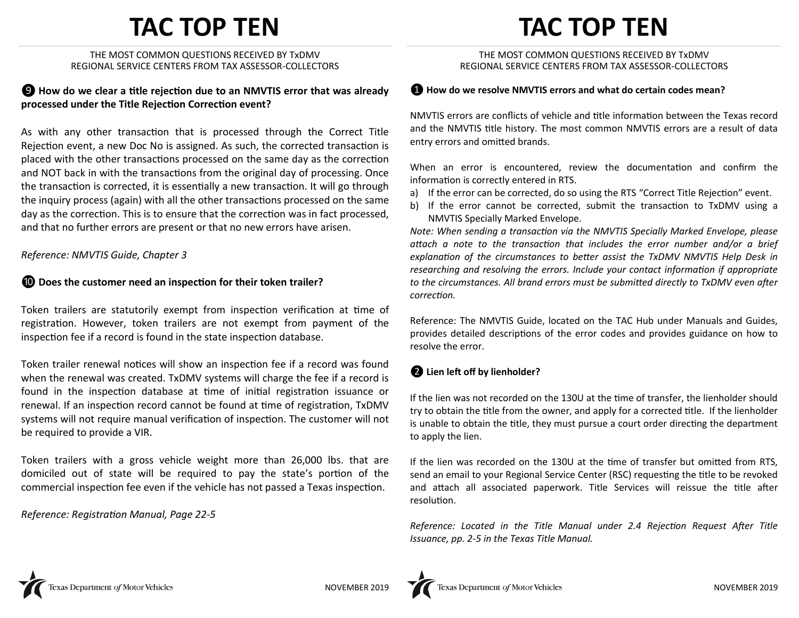# **TAC TOP TEN**

THE MOST COMMON QUESTIONS RECEIVED BY TxDMV REGIONAL SERVICE CENTERS FROM TAX ASSESSOR-COLLECTORS

### ❾ **How do we clear a title rejection due to an NMVTIS error that was already processed under the Title Rejection Correction event?**

As with any other transaction that is processed through the Correct Title Rejection event, a new Doc No is assigned. As such, the corrected transaction is placed with the other transactions processed on the same day as the correction and NOT back in with the transactions from the original day of processing. Once the transaction is corrected, it is essentially a new transaction. It will go through the inquiry process (again) with all the other transactions processed on the same day as the correction. This is to ensure that the correction was in fact processed, and that no further errors are present or that no new errors have arisen.

#### *Reference: NMVTIS Guide, Chapter 3*

#### ❿ **Does the customer need an inspection for their token trailer?**

Token trailers are statutorily exempt from inspection verification at time of registration. However, token trailers are not exempt from payment of the inspection fee if a record is found in the state inspection database.

Token trailer renewal notices will show an inspection fee if a record was found when the renewal was created. TxDMV systems will charge the fee if a record is found in the inspection database at time of initial registration issuance or renewal. If an inspection record cannot be found at time of registration, TxDMV systems will not require manual verification of inspection. The customer will not be required to provide a VIR.

Token trailers with a gross vehicle weight more than 26,000 lbs. that are domiciled out of state will be required to pay the state's portion of the commercial inspection fee even if the vehicle has not passed a Texas inspection.

*Reference: Registration Manual, Page 22-5*

# **TAC TOP TEN**

#### THE MOST COMMON QUESTIONS RECEIVED BY TxDMV REGIONAL SERVICE CENTERS FROM TAX ASSESSOR-COLLECTORS

#### ❶ **How do we resolve NMVTIS errors and what do certain codes mean?**

NMVTIS errors are conflicts of vehicle and title information between the Texas record and the NMVTIS title history. The most common NMVTIS errors are a result of data entry errors and omitted brands.

When an error is encountered, review the documentation and confirm the information is correctly entered in RTS.

- a) If the error can be corrected, do so using the RTS "Correct Title Rejection" event.
- b) If the error cannot be corrected, submit the transaction to TxDMV using a NMVTIS Specially Marked Envelope.

*Note: When sending a transaction via the NMVTIS Specially Marked Envelope, please attach a note to the transaction that includes the error number and/or a brief*  explanation of the circumstances to better assist the TxDMV NMVTIS Help Desk in *researching and resolving the errors. Include your contact information if appropriate to the circumstances. All brand errors must be submitted directly to TxDMV even after correction.* 

Reference: The NMVTIS Guide, located on the TAC Hub under Manuals and Guides, provides detailed descriptions of the error codes and provides guidance on how to resolve the error.

### ❷ **Lien left off by lienholder?**

If the lien was not recorded on the 130U at the time of transfer, the lienholder should try to obtain the title from the owner, and apply for a corrected title. If the lienholder is unable to obtain the title, they must pursue a court order directing the department to apply the lien.

If the lien was recorded on the 130U at the time of transfer but omitted from RTS, send an email to your Regional Service Center (RSC) requesting the title to be revoked and attach all associated paperwork. Title Services will reissue the title after resolution.

*Reference: Located in the Title Manual under 2.4 Rejection Request After Title Issuance, pp. 2-5 in the Texas Title Manual.*